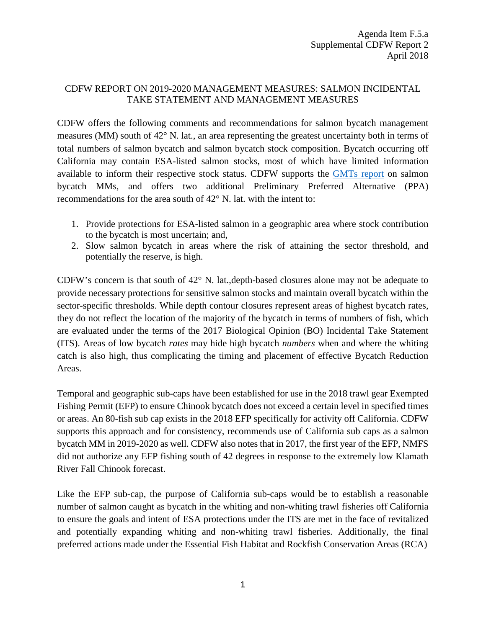## CDFW REPORT ON 2019-2020 MANAGEMENT MEASURES: SALMON INCIDENTAL TAKE STATEMENT AND MANAGEMENT MEASURES

CDFW offers the following comments and recommendations for salmon bycatch management measures (MM) south of 42° N. lat., an area representing the greatest uncertainty both in terms of total numbers of salmon bycatch and salmon bycatch stock composition. Bycatch occurring off California may contain ESA-listed salmon stocks, most of which have limited information available to inform their respective stock status. CDFW supports the [GMTs report](https://www.pcouncil.org/wp-content/uploads/2018/04/F5a_Supp_GMT_Rpt3_Apr2018BB.pdf) on salmon bycatch MMs, and offers two additional Preliminary Preferred Alternative (PPA) recommendations for the area south of 42° N. lat. with the intent to:

- 1. Provide protections for ESA-listed salmon in a geographic area where stock contribution to the bycatch is most uncertain; and,
- 2. Slow salmon bycatch in areas where the risk of attaining the sector threshold, and potentially the reserve, is high.

CDFW's concern is that south of 42° N. lat.,depth-based closures alone may not be adequate to provide necessary protections for sensitive salmon stocks and maintain overall bycatch within the sector-specific thresholds. While depth contour closures represent areas of highest bycatch rates, they do not reflect the location of the majority of the bycatch in terms of numbers of fish, which are evaluated under the terms of the 2017 Biological Opinion (BO) Incidental Take Statement (ITS). Areas of low bycatch *rates* may hide high bycatch *numbers* when and where the whiting catch is also high, thus complicating the timing and placement of effective Bycatch Reduction Areas.

Temporal and geographic sub-caps have been established for use in the 2018 trawl gear Exempted Fishing Permit (EFP) to ensure Chinook bycatch does not exceed a certain level in specified times or areas. An 80-fish sub cap exists in the 2018 EFP specifically for activity off California. CDFW supports this approach and for consistency, recommends use of California sub caps as a salmon bycatch MM in 2019-2020 as well. CDFW also notes that in 2017, the first year of the EFP, NMFS did not authorize any EFP fishing south of 42 degrees in response to the extremely low Klamath River Fall Chinook forecast.

Like the EFP sub-cap, the purpose of California sub-caps would be to establish a reasonable number of salmon caught as bycatch in the whiting and non-whiting trawl fisheries off California to ensure the goals and intent of ESA protections under the ITS are met in the face of revitalized and potentially expanding whiting and non-whiting trawl fisheries. Additionally, the final preferred actions made under the Essential Fish Habitat and Rockfish Conservation Areas (RCA)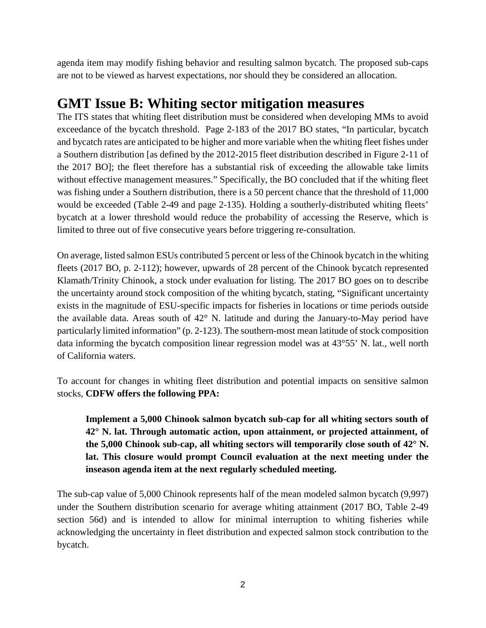agenda item may modify fishing behavior and resulting salmon bycatch. The proposed sub-caps are not to be viewed as harvest expectations, nor should they be considered an allocation.

## **GMT Issue B: Whiting sector mitigation measures**

The ITS states that whiting fleet distribution must be considered when developing MMs to avoid exceedance of the bycatch threshold. Page 2-183 of the 2017 BO states, "In particular, bycatch and bycatch rates are anticipated to be higher and more variable when the whiting fleet fishes under a Southern distribution [as defined by the 2012-2015 fleet distribution described in Figure 2-11 of the 2017 BO]; the fleet therefore has a substantial risk of exceeding the allowable take limits without effective management measures." Specifically, the BO concluded that if the whiting fleet was fishing under a Southern distribution, there is a 50 percent chance that the threshold of 11,000 would be exceeded (Table 2-49 and page 2-135). Holding a southerly-distributed whiting fleets' bycatch at a lower threshold would reduce the probability of accessing the Reserve, which is limited to three out of five consecutive years before triggering re-consultation.

On average, listed salmon ESUs contributed 5 percent or less of the Chinook bycatch in the whiting fleets (2017 BO, p. 2-112); however, upwards of 28 percent of the Chinook bycatch represented Klamath/Trinity Chinook, a stock under evaluation for listing. The 2017 BO goes on to describe the uncertainty around stock composition of the whiting bycatch, stating, "Significant uncertainty exists in the magnitude of ESU-specific impacts for fisheries in locations or time periods outside the available data. Areas south of 42° N. latitude and during the January-to-May period have particularly limited information" (p. 2-123). The southern-most mean latitude of stock composition data informing the bycatch composition linear regression model was at 43°55' N. lat., well north of California waters.

To account for changes in whiting fleet distribution and potential impacts on sensitive salmon stocks, **CDFW offers the following PPA:**

**Implement a 5,000 Chinook salmon bycatch sub-cap for all whiting sectors south of 42° N. lat. Through automatic action, upon attainment, or projected attainment, of the 5,000 Chinook sub-cap, all whiting sectors will temporarily close south of 42° N. lat. This closure would prompt Council evaluation at the next meeting under the inseason agenda item at the next regularly scheduled meeting.**

The sub-cap value of 5,000 Chinook represents half of the mean modeled salmon bycatch (9,997) under the Southern distribution scenario for average whiting attainment (2017 BO, Table 2-49 section 56d) and is intended to allow for minimal interruption to whiting fisheries while acknowledging the uncertainty in fleet distribution and expected salmon stock contribution to the bycatch.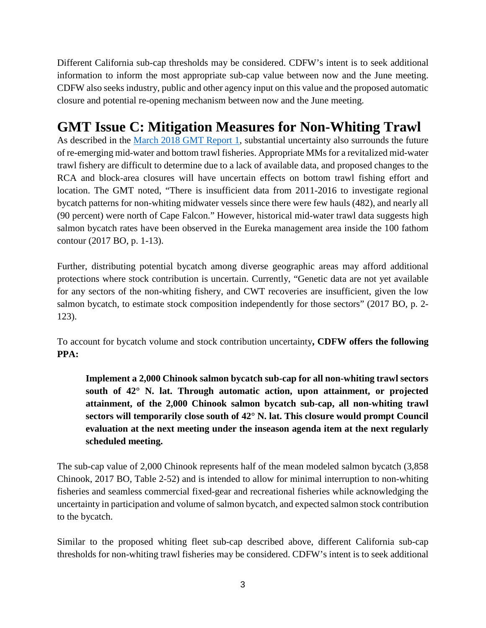Different California sub-cap thresholds may be considered. CDFW's intent is to seek additional information to inform the most appropriate sub-cap value between now and the June meeting. CDFW also seeks industry, public and other agency input on this value and the proposed automatic closure and potential re-opening mechanism between now and the June meeting.

## **GMT Issue C: Mitigation Measures for Non-Whiting Trawl**

As described in the [March 2018 GMT Report 1,](https://www.pcouncil.org/wp-content/uploads/2018/02/H5a_GMT_Rpt1_Mar2018BB.pdf) substantial uncertainty also surrounds the future of re-emerging mid-water and bottom trawl fisheries. Appropriate MMs for a revitalized mid-water trawl fishery are difficult to determine due to a lack of available data, and proposed changes to the RCA and block-area closures will have uncertain effects on bottom trawl fishing effort and location. The GMT noted, "There is insufficient data from 2011-2016 to investigate regional bycatch patterns for non-whiting midwater vessels since there were few hauls (482), and nearly all (90 percent) were north of Cape Falcon." However, historical mid-water trawl data suggests high salmon bycatch rates have been observed in the Eureka management area inside the 100 fathom contour (2017 BO, p. 1-13).

Further, distributing potential bycatch among diverse geographic areas may afford additional protections where stock contribution is uncertain. Currently, "Genetic data are not yet available for any sectors of the non-whiting fishery, and CWT recoveries are insufficient, given the low salmon bycatch, to estimate stock composition independently for those sectors" (2017 BO, p. 2- 123).

To account for bycatch volume and stock contribution uncertainty**, CDFW offers the following PPA:**

**Implement a 2,000 Chinook salmon bycatch sub-cap for all non-whiting trawl sectors south of 42° N. lat. Through automatic action, upon attainment, or projected attainment, of the 2,000 Chinook salmon bycatch sub-cap, all non-whiting trawl sectors will temporarily close south of 42° N. lat. This closure would prompt Council evaluation at the next meeting under the inseason agenda item at the next regularly scheduled meeting.**

The sub-cap value of 2,000 Chinook represents half of the mean modeled salmon bycatch (3,858 Chinook, 2017 BO, Table 2-52) and is intended to allow for minimal interruption to non-whiting fisheries and seamless commercial fixed-gear and recreational fisheries while acknowledging the uncertainty in participation and volume of salmon bycatch, and expected salmon stock contribution to the bycatch.

Similar to the proposed whiting fleet sub-cap described above, different California sub-cap thresholds for non-whiting trawl fisheries may be considered. CDFW's intent is to seek additional